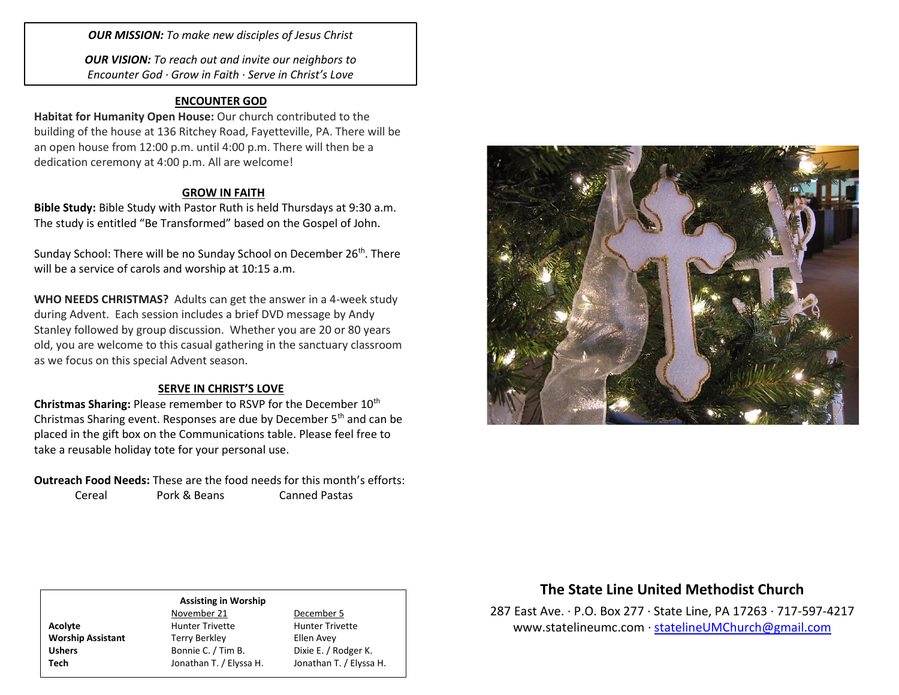*OUR MISSION: To make new disciples of Jesus Christ*

*OUR VISION: To reach out and invite our neighbors to Encounter God · Grow in Faith · Serve in Christ's Love*

## **ENCOUNTER GOD**

**Habitat for Humanity Open House:** Our church contributed to the building of the house at 136 Ritchey Road, Fayetteville, PA. There will be an open house from 12:00 p.m. until 4:00 p.m. There will then be a dedication ceremony at 4:00 p.m. All are welcome!

## **GROW IN FAITH**

**Bible Study:** Bible Study with Pastor Ruth is held Thursdays at 9:30 a.m. The study is entitled "Be Transformed" based on the Gospel of John.

Sunday School: There will be no Sunday School on December 26<sup>th</sup>. There will be a service of carols and worship at 10:15 a.m.

**WHO NEEDS CHRISTMAS?** Adults can get the answer in a 4-week study during Advent. Each session includes a brief DVD message by Andy Stanley followed by group discussion. Whether you are 20 or 80 years old, you are welcome to this casual gathering in the sanctuary classroom as we focus on this special Advent season.

## **SERVE IN CHRIST'S LOVE**

**Christmas Sharing: Please remember to RSVP for the December 10<sup>th</sup>** Christmas Sharing event. Responses are due by December 5<sup>th</sup> and can be placed in the gift box on the Communications table. Please feel free to take a reusable holiday tote for your personal use.

**Outreach Food Needs:** These are the food needs for this month's efforts: Cereal Pork & Beans Canned Pastas



# **The State Line United Methodist Church**

287 East Ave. · P.O. Box 277 · State Line, PA 17263 · 717-597-4217 [www.statelineumc.com](http://www.statelineumc.com/) · [statelineUMChurch@gmail.com](mailto:statelineUMChurch@gmail.com)

### **Assisting in Worship**

**Worship Assistant** Terry Berkley **Terry Berkley** Ellen Avey

November 21 December 5 Acolyte **Acolyte** Hunter Trivette **Hunter Trivette** Ushers Bonnie C. / Tim B. Dixie E. / Rodger K. **Tech** Jonathan T. / Elyssa H. Jonathan T. / Elyssa H.